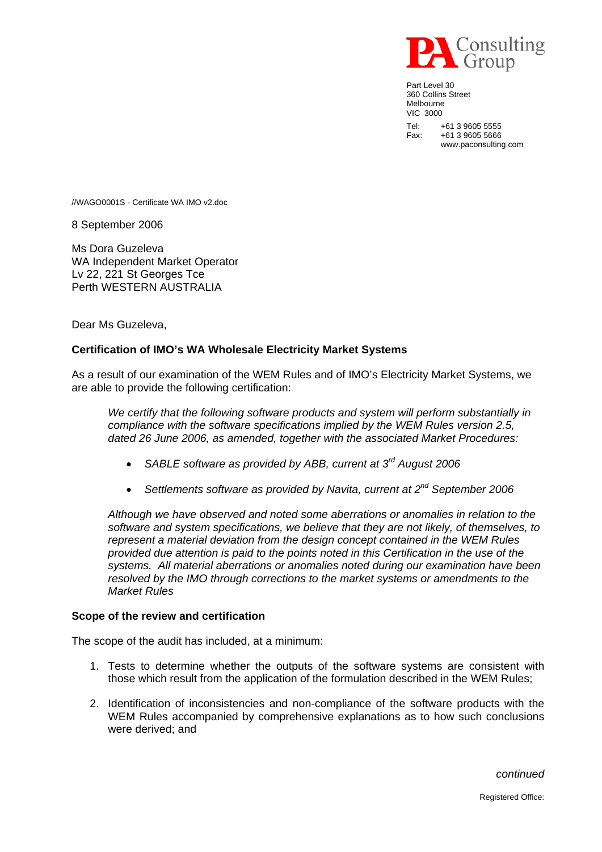

Part Level 30 360 Collins Street Melbourne VIC 3000 Tel: +61 3 9605 5555 Fax: +61 3 9605 5666 www.paconsulting.com

//WAGO0001S - Certificate WA IMO v2.doc

8 September 2006

Ms Dora Guzeleva WA Independent Market Operator Lv 22, 221 St Georges Tce Perth WESTERN AUSTRALIA

Dear Ms Guzeleva,

## **Certification of IMO's WA Wholesale Electricity Market Systems**

As a result of our examination of the WEM Rules and of IMO's Electricity Market Systems, we are able to provide the following certification:

*We certify that the following software products and system will perform substantially in compliance with the software specifications implied by the WEM Rules version 2.5, dated 26 June 2006, as amended, together with the associated Market Procedures:* 

- *SABLE software as provided by ABB, current at 3rd August 2006*
- *Settlements software as provided by Navita, current at 2nd September 2006*

*Although we have observed and noted some aberrations or anomalies in relation to the software and system specifications, we believe that they are not likely, of themselves, to represent a material deviation from the design concept contained in the WEM Rules provided due attention is paid to the points noted in this Certification in the use of the systems. All material aberrations or anomalies noted during our examination have been resolved by the IMO through corrections to the market systems or amendments to the Market Rules*

## **Scope of the review and certification**

The scope of the audit has included, at a minimum:

- 1. Tests to determine whether the outputs of the software systems are consistent with those which result from the application of the formulation described in the WEM Rules;
- 2. Identification of inconsistencies and non-compliance of the software products with the WEM Rules accompanied by comprehensive explanations as to how such conclusions were derived; and

*continued*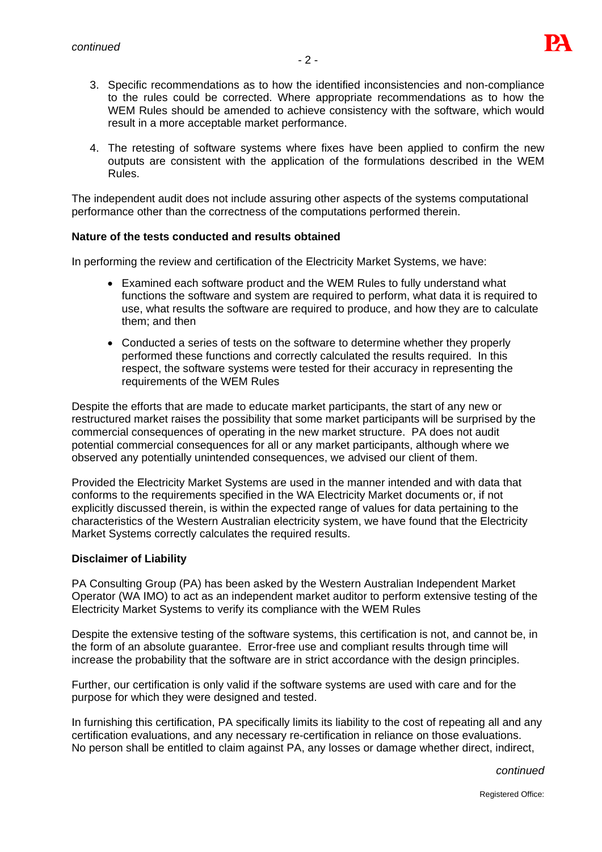

- 3. Specific recommendations as to how the identified inconsistencies and non-compliance to the rules could be corrected. Where appropriate recommendations as to how the WEM Rules should be amended to achieve consistency with the software, which would result in a more acceptable market performance.
- 4. The retesting of software systems where fixes have been applied to confirm the new outputs are consistent with the application of the formulations described in the WEM Rules.

The independent audit does not include assuring other aspects of the systems computational performance other than the correctness of the computations performed therein.

## **Nature of the tests conducted and results obtained**

In performing the review and certification of the Electricity Market Systems, we have:

- Examined each software product and the WEM Rules to fully understand what functions the software and system are required to perform, what data it is required to use, what results the software are required to produce, and how they are to calculate them; and then
- Conducted a series of tests on the software to determine whether they properly performed these functions and correctly calculated the results required. In this respect, the software systems were tested for their accuracy in representing the requirements of the WEM Rules

Despite the efforts that are made to educate market participants, the start of any new or restructured market raises the possibility that some market participants will be surprised by the commercial consequences of operating in the new market structure. PA does not audit potential commercial consequences for all or any market participants, although where we observed any potentially unintended consequences, we advised our client of them.

Provided the Electricity Market Systems are used in the manner intended and with data that conforms to the requirements specified in the WA Electricity Market documents or, if not explicitly discussed therein, is within the expected range of values for data pertaining to the characteristics of the Western Australian electricity system, we have found that the Electricity Market Systems correctly calculates the required results.

## **Disclaimer of Liability**

PA Consulting Group (PA) has been asked by the Western Australian Independent Market Operator (WA IMO) to act as an independent market auditor to perform extensive testing of the Electricity Market Systems to verify its compliance with the WEM Rules

Despite the extensive testing of the software systems, this certification is not, and cannot be, in the form of an absolute guarantee. Error-free use and compliant results through time will increase the probability that the software are in strict accordance with the design principles.

Further, our certification is only valid if the software systems are used with care and for the purpose for which they were designed and tested.

In furnishing this certification, PA specifically limits its liability to the cost of repeating all and any certification evaluations, and any necessary re-certification in reliance on those evaluations. No person shall be entitled to claim against PA, any losses or damage whether direct, indirect,

*continued*